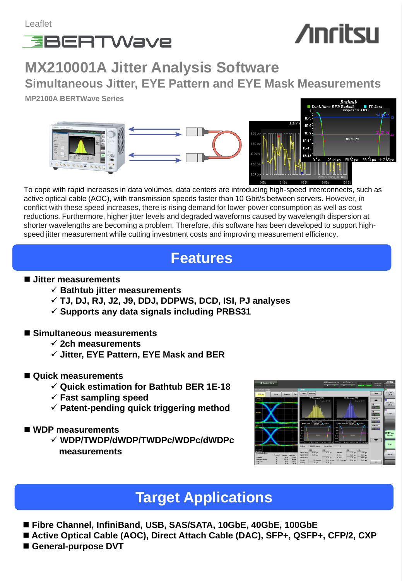

# **Anritsu**

**MX210001A Jitter Analysis Software Simultaneous Jitter, EYE Pattern and EYE Mask Measurements**

**MP2100A BERTWave Series**





To cope with rapid increases in data volumes, data centers are introducing high-speed interconnects, such as active optical cable (AOC), with transmission speeds faster than 10 Gbit/s between servers. However, in conflict with these speed increases, there is rising demand for lower power consumption as well as cost reductions. Furthermore, higher jitter levels and degraded waveforms caused by wavelength dispersion at shorter wavelengths are becoming a problem. Therefore, this software has been developed to support highspeed jitter measurement while cutting investment costs and improving measurement efficiency.

## **Features**

### **Jitter measurements**

- $\checkmark$  Bathtub jitter measurements
- **TJ, DJ, RJ, J2, J9, DDJ, DDPWS, DCD, ISI, PJ analyses**
- **Supports any data signals including PRBS31**
- **Simultaneous measurements** 
	- **2ch measurements**
	- **Jitter, EYE Pattern, EYE Mask and BER**
- **Quick measurements**
	- **Quick estimation for Bathtub BER 1E-18**
	- **Fast sampling speed**
	- **Patent-pending quick triggering method**
- **WDP measurements**
	- **WDP/TWDP/dWDP/TWDPc/WDPc/dWDPc measurements**



## **Target Applications**

- **Fibre Channel, InfiniBand, USB, SAS/SATA, 10GbE, 40GbE, 100GbE**
- Active Optical Cable (AOC), Direct Attach Cable (DAC), SFP+, QSFP+, CFP/2, CXP
- **General-purpose DVT**